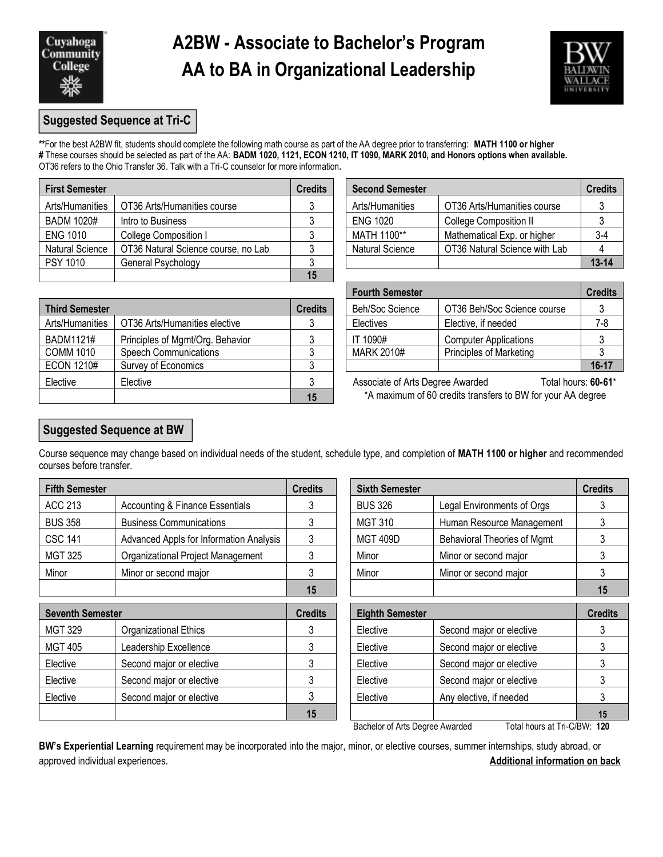

## **A2BW - Associate to Bachelor's Program AA to BA in Organizational Leadership**



### **Suggested Sequence at Tri-C**

**\*\***For the best A2BW fit, students should complete the following math course as part of the AA degree prior to transferring: **MATH 1100 or higher #** These courses should be selected as part of the AA: **BADM 1020, 1121, ECON 1210, IT 1090, MARK 2010, and Honors options when available.** OT36 refers to the Ohio Transfer 36. Talk with a Tri-C counselor for more information**.**

| <b>First Semester</b> |                                     | <b>Credits</b> | <b>Second Semester</b> |                               |           |
|-----------------------|-------------------------------------|----------------|------------------------|-------------------------------|-----------|
| Arts/Humanities       | OT36 Arts/Humanities course         |                | Arts/Humanities        | OT36 Arts/Humanities course   |           |
| <b>BADM 1020#</b>     | Intro to Business                   |                | <b>ENG 1020</b>        | <b>College Composition II</b> |           |
| <b>ENG 1010</b>       | College Composition I               |                | MATH 1100**            | Mathematical Exp. or higher   | $3-4$     |
| Natural Science       | OT36 Natural Science course, no Lab |                | <b>Natural Science</b> | OT36 Natural Science with Lab |           |
| <b>PSY 1010</b>       | General Psychology                  |                |                        |                               | $13 - 14$ |
|                       |                                     | 15             |                        |                               |           |

| Second Semester        |                               | Credits   |
|------------------------|-------------------------------|-----------|
| Arts/Humanities        | OT36 Arts/Humanities course   |           |
| <b>ENG 1020</b>        | College Composition II        |           |
| MATH 1100**            | Mathematical Exp. or higher   | $3-4$     |
| <b>Natural Science</b> | OT36 Natural Science with Lab |           |
|                        |                               | $13 - 14$ |

| <b>Third Semester</b> |                                  |    | <b>Beh/Soc Science</b>                                      | OT36 Beh/Soc Science course  |           |
|-----------------------|----------------------------------|----|-------------------------------------------------------------|------------------------------|-----------|
| Arts/Humanities       | OT36 Arts/Humanities elective    |    | Electives                                                   | Elective, if needed          | 7-8       |
| BADM1121#             | Principles of Mgmt/Org. Behavior |    | IT 1090#                                                    | <b>Computer Applications</b> |           |
| COMM 1010             | <b>Speech Communications</b>     |    | MARK 2010#                                                  | Principles of Marketing      |           |
| <b>ECON 1210#</b>     | Survey of Economics              |    |                                                             |                              | $16 - 17$ |
| Elective              | Elective                         |    | Associate of Arts Degree Awarded                            | Total hours: 60-61           |           |
|                       |                                  | 15 | *A maximum of 60 credits transfers to BW for your AA degree |                              |           |

| <b>Fourth Semester</b> |                              | <b>Credits</b> |
|------------------------|------------------------------|----------------|
| Beh/Soc Science        | OT36 Beh/Soc Science course  |                |
| Electives              | Elective, if needed          | 7-8            |
| IT 1090#               | <b>Computer Applications</b> |                |
| <b>MARK 2010#</b>      | Principles of Marketing      |                |
|                        |                              | $16-17$        |

### **Suggested Sequence at BW**

Course sequence may change based on individual needs of the student, schedule type, and completion of **MATH 1100 or higher** and recommended courses before transfer.

| <b>Fifth Semester</b> | <b>Credits</b>                             | <b>Sixth Semester</b> |                 | <b>Credits</b>                     |                 |
|-----------------------|--------------------------------------------|-----------------------|-----------------|------------------------------------|-----------------|
| <b>ACC 213</b>        | <b>Accounting &amp; Finance Essentials</b> |                       | <b>BUS 326</b>  | Legal Environments of Orgs         |                 |
| <b>BUS 358</b>        | <b>Business Communications</b>             |                       | <b>MGT 310</b>  | Human Resource Management          |                 |
| <b>CSC 141</b>        | Advanced Appls for Information Analysis    |                       | <b>MGT 409D</b> | <b>Behavioral Theories of Mgmt</b> |                 |
| MGT 325               | Organizational Project Management          |                       | Minor           | Minor or second major              |                 |
| Minor                 | Minor or second major                      |                       | Minor           | Minor or second major              |                 |
|                       |                                            | $\overline{AB}$       |                 |                                    | $\overline{AB}$ |

| <b>Seventh Semester</b> |                              | <b>Credits</b> | <b>Eighth Semester</b> |                          | <b>Credits</b> |
|-------------------------|------------------------------|----------------|------------------------|--------------------------|----------------|
| MGT 329                 | <b>Organizational Ethics</b> |                | Elective               | Second major or elective |                |
| MGT 405                 | Leadership Excellence        |                | Elective               | Second major or elective |                |
| Elective                | Second major or elective     |                | Elective               | Second major or elective |                |
| Elective                | Second major or elective     |                | Elective               | Second major or elective |                |
| Elective                | Second major or elective     |                | Elective               | Any elective, if needed  |                |
|                         |                              | 15             |                        |                          | 15             |

| dits | <b>Sixth Semester</b> |                                    | <b>Credits</b> |
|------|-----------------------|------------------------------------|----------------|
| 3    | <b>BUS 326</b>        | Legal Environments of Orgs         |                |
| 3    | <b>MGT 310</b>        | Human Resource Management          |                |
| 3    | <b>MGT 409D</b>       | <b>Behavioral Theories of Mgmt</b> |                |
| 3    | Minor                 | Minor or second major              |                |
| 3    | Minor                 | Minor or second major              |                |
| 15   |                       |                                    |                |

| edits | <b>Eighth Semester</b> |                          | <b>Credits</b> |
|-------|------------------------|--------------------------|----------------|
| 3     | Elective               | Second major or elective |                |
| 3     | Elective               | Second major or elective |                |
| 3     | Elective               | Second major or elective |                |
| 3     | Elective               | Second major or elective |                |
| 3     | Elective               | Any elective, if needed  |                |
| 15    |                        |                          | 15             |

Bachelor of Arts Degree Awarded Total hours at Tri-C/BW: **120**

**BW's Experiential Learning** requirement may be incorporated into the major, minor, or elective courses, summer internships, study abroad, or approved individual experiences. **Additional information on back**